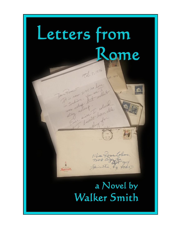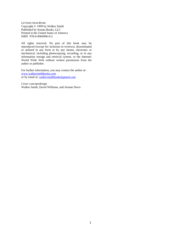*LETTERS FROM ROME* Copyright © 1999 by Walker Smith Published by Sonata Books, LLC Printed in the United States of America ISBN 978-0-9904996-0-2

All rights reserved. No part of this book may be reproduced (except for inclusion in reviews), disseminated or utilized in any form or by any means, electronic or mechanical, including photocopying, recording, or in any information storage and retrieval system, or the Internet/ World Wide Web without written permission from the author or publisher.

For further information, you may contact the author at: www.walkersmithbooks.com or by email at: *walkersmithbooks@gmail.com*

*Cover concept/design* Walker Smith, David Williams, and Jerome Davis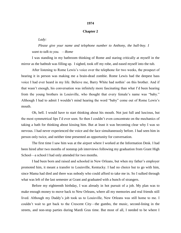## **1974**

## **Chapter 2**

*Lady:*

*Please give your name and telephone number to Anthony, the ball-boy. I want to talk to you. —Rome*

I was standing in my bathroom thinking of Rome and staring critically at myself in the mirror as the bathtub was filling up. I sighed, took off my robe, and eased myself into the tub.

After listening to Rome Lewis's voice over the telephone for two weeks, the prospect of hearing it in person was making me a brain-dead zombie. Rome Lewis had the deepest bass voice I had ever heard in my life. Believe me, Barry White had nothin' on this brother. And if that wasn't enough, his conversation was infinitely more fascinating than what I'd been hearing from the young brothers in Louisville, who thought that every female's name was "baby." Although I had to admit I wouldn't mind hearing the word "baby" come out of Rome Lewis's mouth.

Oh, hell. I would have to start thinking about his mouth. Not just full and luscious, but the most symmetrical lips I'd ever seen. So then I couldn't even concentrate on the mechanics of taking a bath for thinking about kissing him. But at least it was becoming clear why I was so nervous. I had never experienced the voice and the face simultaneously before. I had seen him in person only twice, and neither time presented an opportunity for conversation.

The first time I saw him was at the airport where I worked at the Information Desk. I had been hired after two months of nonstop job interviews following my graduation from Grant High School—a school I had only attended for two months.

I had been born and raised and schooled in New Orleans, but when my father's employer promoted him, it meant a transfer to Louisville, Kentucky. I had no choice but to go with him, since Mama had died and there was nobody who could afford to take me in. So I sulked through what was left of the last semester at Grant and graduated with a bunch of strangers.

Before my eighteenth birthday, I was already in hot pursuit of a job. My plan was to make enough money to move back to New Orleans, where all my memories and real friends still lived. Although my Daddy's job took us to Louisville, New Orleans was still home to me. I couldn't wait to get back to the Crescent City—the gumbo, the music, second-lining in the streets, and non-stop parties during Mardi Gras time. But most of all, I needed to be where I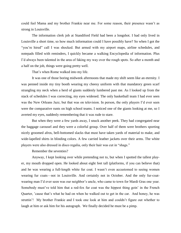could feel Mama and my brother Frankie near me. For some reason, their presence wasn't as strong in Louisville.

The information clerk job at Standiford Field had been a longshot. I had only lived in Louisville a short time, so how much information could I have possibly have? So when I got the "you're hired" call I was shocked. But armed with my airport maps, airline schedules, and notepads filled with reminders, I quickly became a walking Encyclopedia of information. Plus I'd always been talented in the area of faking my way over the rough spots. So after a month and a half on the job, things were going pretty well.

That's when Rome walked into my life.

It was one of those boring midweek afternoons that made my shift seem like an eternity. I was penned inside my tiny booth wearing my cheesy uniform with that mandatory green scarf strangling my neck when a herd of giants suddenly lumbered past me. As I looked up from the stack of schedules I was correcting, my eyes widened. The only basketball team I had ever seen was the New Orleans Jazz, but that was on television. In person, the only players I'd ever seen were the comparative runts on high school teams. I noticed one of the giants looking at me, so I averted my eyes, suddenly remembering that it was rude to stare.

But when they were a few yards away, I snuck another peek. They had congregated near the baggage carousel and they were a colorful group. Over half of them were brothers sporting nicely groomed afros, bell-bottomed slacks that must have taken yards of material to make, and wide-lapelled shirts in blinding colors. A few carried leather jackets over their arms. The white players were also dressed in disco regalia, only their hair was cut in "shags."

Remember the seventies?

Anyway, I kept looking over while pretending not to, but when I spotted the tallest player, my mouth dropped open. He looked about eight feet tall (platforms, if you can believe that) and he was wearing a full-length white fur coat. I wasn't even accustomed to seeing women wearing fur coats—not in Louisville. And certainly not in October. And the only fur-coatwearing man I'd ever seen was our neighbor's uncle, who came to town for Mardi Gras one year. Somebody must've told him that a red-fox fur coat was the hippest thing goin' in the French Quarter, 'cause that's what he had on when he walked out to get in the car. And honey, he was struttin'! My brother Frankie and I took one look at him and couldn't figure out whether to laugh at him or ask him for his autograph. We finally decided he must be a pimp.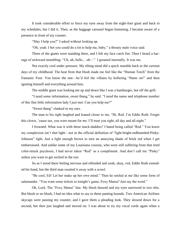It took considerable effort to force my eyes away from the eight-foot giant and back to my schedules, but I did it. Then, as the baggage carousel began humming, I became aware of a presence in front of my counter.

"May I help you?" I asked without looking up.

"Oh, yeah. I bet you could do a lot to help me, baby," a throaty male voice said.

Three of the giants were standing there, and I felt my face catch fire. Then I heard a barrage of awkward mumbling: "Uh, uh, hello*…* uh—" I groaned internally. It was me.

Not exactly cool under pressure. My tilting mind did a quick stumble back to the cartoon days of my childhood. The heat from that blush made me feel like the "Human Torch" from the Fantastic Four. You know the one—he'd foil the villains by hollering "flame on!" and then igniting himself and everything around him.

The middle giant was looking me up and down like I was a hamburger, hot off the grill.

"I need some information, sweet thang," he said. "I need the name and telephone number of this fine little information lady I just met. Can you help me?"

"Sweet thang" clanked in my ears.

The man to his right laughed and leaned closer to me. "Hi, Red. I'm Eddie Roth. Forget this clown, 'cause see, you were meant for *me*. I'll treat you right, all day and all night."

I frowned. What was it with these mack-daddies? I hated being called "Red." You know my complexion isn't *that* light—not in the official definition of "light-bright-redboneded-Pinky-Johnson" light. Just a light enough brown to turn an annoying shade of brick red when I get embarrassed. And unlike some of my Louisiana cousins, who were still suffering from that tired color-struck psychosis, I had never taken "Red" as a compliment. And don't call me "Pinky" unless you want to get socked in the eye.

So as I stood there feeling nervous and offended and yeah, okay, *red*, Eddie Roth extended his hand, but the third man swatted it away with a scowl.

"Be cool, Ed! Let her make up her own mind." Then he smiled at me like some form of salamander. "You want some tickets to tonight's game, Foxy Mama? Just say the word."

Oh, Lord. The "Foxy Mama" line. My blush thawed and my eyes narrowed to two slits. But blush or no blush, I had no idea what to say to these panting hounds. Two American Airlines skycaps were passing my counter, and I gave them a pleading look. They slowed down for a second, but then just laughed and moved on. I was about to try my vocal cords again when a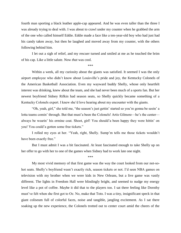fourth man sporting a black leather apple-cap appeared. And he was even taller than the three I was already trying to deal with. I was about to crawl under my counter when he grabbed the arm of the one who called himself Eddie. Eddie made a face like a ten-year-old boy who had just had his candy taken away, but then he laughed and moved away from my counter, with the others following behind him.

I let out a sigh of relief, and my rescuer turned and smiled at me as he touched the brim of his cap. Like a little salute. Now *that* was cool.

\*\*\*

Within a week, all my curiosity about the giants was satisfied. It seemed I was the only airport employee who didn't know about Louisville's pride and joy, the Kentucky Colonels of the American Basketball Association. Even my wayward buddy Shelly, whose only heartfelt interest was drinking, knew about the team, and she had never been much of a sports fan. But her newest boyfriend Sidney Rifkin had season seats, so Shelly quickly became something of a Kentucky Colonels expert. I knew she'd love hearing about my encounter with the giants.

"Oh, yeah, girl," she told me, "the season's just gettin' started so you're gonna be seein' a lotta teams comin' through. But that must'a been the Colonels! Artis Gilmore—he's the center always be wearin' his ermine coat. Shoot, girl! You should'a been happy they were hittin' on you! You could'a gotten some free tickets."

I rolled my eyes at her. "Yeah, right, Shelly. Sump'm tells me those tickets wouldn't have been exactly free."

But I must admit I was a bit fascinated. At least fascinated enough to take Shelly up on her offer to go with her to one of the games when Sidney had to work late one night.

\*\*\*

My most vivid memory of that first game was the way the court looked from our not-sohot seats. Shelly's boyfriend wasn't exactly rich, season tickets or not. I'd seen NBA games on television with my brother when we were kids in New Orleans, but a live game was vastly different. The lights in Freedom Hall were blindingly bright, and seemed to nudge my energy level like a pot of coffee. Maybe it did that to the players too. I sat there feeling like Dorothy must've felt when she first got to Oz. No, make that Toto. I was a tiny, insignificant speck in that giant coliseum full of colorful faces, noise and tangible, jangling excitement. As I sat there soaking up the new experience, the Colonels trotted out to center court amid the cheers of the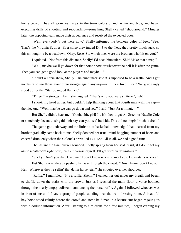home crowd. They all wore warm-ups in the team colors of red, white and blue, and began executing drills of shooting and rebounding—something Shelly called "shootaround." Minutes later, the opposing team made their appearance and received the expected boos.

"Well, everybody's out there now," Shelly informed me between gulps of beer. "See? That's the Virginia Squires. Ever since they traded Dr. J to the Nets, they pretty much suck, so this shit ought'a be a beatdown. Okay, Rose. So, which ones were the brothers who hit on you?"

I squinted. "Not from this distance, Shelly! I'd need binoculars. Shit! Make that a map."

"Well, maybe we'll go down for that horse show or whatever the hell it is after the game. Then you can get a good look at the players and maybe—"

"It ain't a horse show, Shelly. The announcer said it's supposed to be a raffle. And I got no desire to see those giant three stooges again anyway—with their tired lines." We grudgingly stood up for the "Star Spangled Banner."

"Three *fine* stooges, I bet," she laughed. "That's why you were stutterin', huh?"

I shook my head at her, but couldn't help thinking about that fourth man with the cap the nice one. "Well, maybe we can go down and see," I said. "Just for a minute—"

But Shelly didn't hear me. "Oooh, shit, girl! I wish they'd get Al Green or Natalie Cole or somebody decent to sing this 'oh-say-can-you-see' bullshit. This old no-singin' bitch is tired!"

The game got underway and the little bit of basketball knowledge I had learned from my brother gradually came back to me. Shelly downed her usual mind-boggling number of beers and cheered drunkenly when the Colonels prevailed 141-120. All in all, we had a good time.

The instant the final buzzer sounded, Shelly sprang from her seat. "Girl, if I don't get my ass to a bathroom right now, I'ma embarrass myself. I'll get wit'chu downstairs."

"Shelly! Don't you dare leave me! I don't know where to meet you. Downstairs *where*?"

But Shelly was already pushing her way through the crowd. "Down by—I don't know… Hell! Wherever they're sellin' that damn horse, girl," she shouted over her shoulder.

"Raffle," I mumbled. "It's a raffle, Shelly." I cursed her out under my breath and began to shuffle down the stairs with the crowd. Just as I reached the main floor, a voice boomed through the nearly empty coliseum announcing the horse raffle. Again, I followed whoever was in front of me until I saw a group of people standing near the team dressing room. A beautiful bay horse stood calmly before the crowd and some bald man in a leisure suit began regaling us with bloodline information. After listening to him drone for a few minutes, I began craning my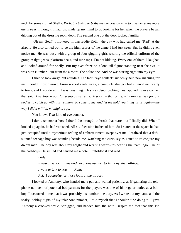neck for some sign of Shelly. *Probably trying to bribe the concession man to give her some more damn beer*, I thought. I had just made up my mind to go looking for her when the players began drifting out of the dressing room door. The second one out the door looked familiar.

"Oh my God!" I muttered. It was Eddie Roth—the guy who had called me "Red" at the airport. He also turned out to be the high scorer of the game I had just seen. But he didn't even notice me. He was busy with a group of four giggling girls wearing the official uniform of the groupie: tight jeans, platform heels, and tube tops. I'm not kidding. Every one of them. I laughed and looked around for Shelly. But my eyes froze on a lone tall figure standing near the exit. It was Man Number Four from the airport. The polite one. And he was staring right into my eyes.

I tried to look away, but couldn't. The term "eye contact" suddenly held new meaning for me. I couldn't even move. From several yards away, a complete stranger had stunned me nearly to tears, and I wondered if I was dreaming. This was deep, probing, heart-pounding eye contact that said, *I've known you for a thousand years. You know that our spirits are restless for our bodies to catch up with this reunion. So come to me, and let me hold you in my arms again—the way I did a million midnights ago.*

You know. *That* kind of eye contact.

I don't remember how I found the strength to break that stare, but I finally did. When I looked up again, he had vanished. All six-feet-nine inches of him. So I stared at the space he had just occupied until a mysterious feeling of embarrassment swept over me. I realized that a darkskinned teenage boy was standing beside me, watching me curiously as I tried to re-conjure my dream man. The boy was about my height and wearing warm-ups bearing the team logo. One of the ball-boys. He smiled and handed me a note. I unfolded it and read.

*Lady:*

*Please give your name and telephone number to Anthony, the ball-boy. I want to talk to you. —Rome*

*P.S. I apologize for those fools at the airport.*

I looked at Anthony, who handed me a pen and waited patiently, as if gathering the telephone numbers of potential bed-partners for the players was one of his regular duties as a ballboy. It occurred to me that it was probably his number-one duty. As I wrote out my name and the shaky-looking digits of my telephone number, I told myself that I shouldn't be doing it. I gave Anthony a crooked smile, shrugged, and handed him the note. Despite the fact that this kid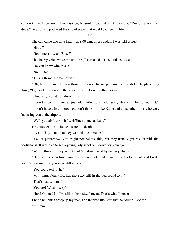couldn't have been more than fourteen, he smiled back at me knowingly. "Rome's a real nice dude," he said, and pocketed the slip of paper that would change my life.

\*\*\*

The call came two days later—at 9:00 a.m. on a Sunday. I was still asleep.

"Hello?"

"Good morning, uh, Rose?"

That heavy voice woke me up. "Yes," I croaked. "This—this is Rose."

"Do you know who this is?"

"No," I lied.

"This is Rome. Rome Lewis."

"Oh, hi." I'm sure he saw through my nonchalant pretense, but he didn't laugh or anything. "I guess I didn't really think you'd call," I said, stifling a yawn.

"Now why would you think that?"

"I don't know. I—I guess I just felt a little foolish adding my phone number to your list."

"I don't have a list. I hope you don't think I'm like Eddie and those other fools who were harassing you at the airport."

"Well, you ain't throwin' wolf lines at me, at least."

He chuckled. "You looked scared to death."

"I was. They acted like they wanted to eat me up."

"You're perceptive. You might not believe this, but they usually get results with that foolishness. It was nice to see a young lady shoot 'em down for a change."

"Well, I think it was you that shot 'em down. And by the way, thanks."

"Happy to be your hired gun. 'Cause you looked like you needed help. So, uh, did I wake you? You sound like you were still asleep."

"You could tell, huh?"

"Mm-hmm. Your voice has that sexy still-in-the-bed sound to it."

"That's 'cause I am."

"You are? What—sexy?"

"Huh? Oh, no! I—I'm still in the bed… I mean. That's what I meant—"

I felt a hot blush creep up my face, and thanked the Lord that he couldn't see me.

"Mmmm."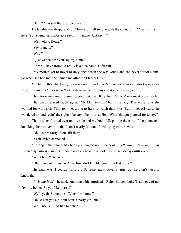"Hello? You still there, uh, Rome?"

He laughed—a deep, lazy rumble—and I fell in love with the sound of it. "Yeah, I'm still here. You sound uncomfortable sayin' my name. Just say it."

"Well, okay. Rome."

"Say it again."

"Why?"

"I just wanna hear you say my name."

"Rome. Okay? Rome. It really is a nice name. Different."

"My mother got to travel to Italy once when she was young and she never forgot Rome. So when she had me, she named me after the Eternal City."

*Oh, hell*, I thought. *He's from some uppity rich family. Wonder what he'd think if he knew I'm still wearin' clothes from the Goodwill and eatin' day-old donuts for supper?*

Then for some dumb reason I blurted out, "So, Italy, huh? Your Mama must'a been rich."

That deep, relaxed laugh again. "My Mama—rich? No, little lady. The white folks she worked for were rich. They took her along to Italy to watch their kids. But on her off-days, she wandered around seein' the sights like any other tourist. Hey! What'chu got planned for today?"

That's when I rolled over on my side and my book fell, pulling the cord of the phone and knocking the receiver onto the floor. I nearly fell out of bed trying to retrieve it.

"Oh, Rome! Sorry. You still there?"

"Yeah. What happened?"

"I dropped the phone. My book got tangled up in the cord—" *Oh, damn! Now he'll think I spend my Saturday nights at home with my nose in a book, like some boring wallflower!*

"What book?" he asked.

"Oh… just, uh, *Invisible Man*. I—didn't feel like goin' out last night."

The truth was, I couldn't afford a Saturday night cover charge, but he didn't need to know that.

"*Invisible Man*?" he said, sounding a bit surprised. "Ralph Ellison, huh? That's one of my favorite books. So you like to read?"

"Well, yeah. Sometimes. When I'm home."

"Oh. When you ain't out bein' a party girl, huh?"

"Well, no. But I do like to dance."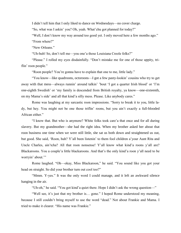I didn't tell him that I only liked to dance on Wednesdays—no cover charge.

"So, what was I askin' you? Oh, yeah. What'chu got planned for today?"

"Well, I don't know my way around too good yet. I only moved here a few months ago." "From where?"

"New Orleans."

"Uh-huh! So, don't tell me—you one'a those Louisiana Creole folks?"

"Please." I rolled my eyes disdainfully. "Don't mistake me for one of those uppity, triflin' roon people."

"Roon people? You're gonna have to explain that one to me, little lady."

"You know—like quadroons, octoroons—I got a few pasty-lookin' cousins who try to get away with that mess—always runnin' around talkin' 'bout 'I got a quarter Irish blood' or 'I'm one-eighth Swedish' or 'my family is descended from British royalty, ya know—one-sixteenth, on my Mama's side' and all that kind'a silly mess. Please. Like anybody cares."

Rome was laughing at my sarcastic roon impressions. "Sorry to break it to you, little lady, but hey. You might not be one those triflin' roons, but you ain't exactly a full-blooded African either."

"I know that. But who is anymore? White folks took care'a that once and for all during slavery. But my grandmother—she had the right idea. When my brother asked her about that roon business one time when we were still little, she sat us both down and straightened us out, but good. She said, 'Roon, huh? Y'all been listenin' to them fool children a'your Aunt Rita and Uncle Charles, ain'tcha? All that roon nonsense! Y'all know what kind'a roons y'all are? Blackaroons. You a couple'a little blackaroons. And that's the only kind'a roon y'all need to be worryin' about."

Rome laughed. "Oh—okay, Miss Blackaroon," he said. "You sound like you got your head on straight. So did your brother turn out cool too?"

"Mmm. Y-yes." It was the only word I could manage, and it left an awkward silence hanging in the air.

"Uh-oh," he said. "You got kind'a quiet there. Hope I didn't ask the wrong question—"

"Well see, it's just that my brother is… gone." I hoped Rome understood my meaning, because I still couldn't bring myself to use the word "dead." Not about Frankie and Mama. I tried to make it clearer. "His name was Frankie."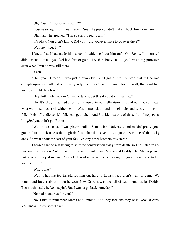"Oh, Rose. I'm so sorry. Recent?"

"Four years ago. But it feels recent. See—he just couldn't make it back from Vietnam."

"Oh, man," he groaned. "I'm so sorry. I really am."

"It's okay. You didn't know. Did you—did you ever have to go over there?"

"Well no—see, I—"

I knew that I had made him uncomfortable, so I cut him off. "Oh, Rome, I'm sorry. I didn't mean to make you feel bad for not goin'. I wish nobody had to go. I was a big protester, even when Frankie was still there."

"Yeah?"

"Hell yeah. I mean, I was just a dumb kid, but I got it into my head that if I carried enough signs and hollered with everybody, then they'd send Frankie home. Well, they sent him home, all right. In a box."

"Hey, little lady, we don't have to talk about this if you don't want to."

"No. It's okay. I learned a lot from those anti-war hell-raisers. I found out that no matter what war it is, those rich white men in Washington sit around in their suits and send all the poor folks' kids off to die so rich folks can get richer. And Frankie was one of those front line pawns. I'm *glad* you didn't go, Rome."

"Well, it was close. I was playin' ball at Santa Clara University and makin' pretty good grades, but I think it was that high draft number that saved me. I guess I was one of the lucky ones. So what about the rest of your family? Any other brothers or sisters?"

I sensed that he was trying to shift the conversation away from death, so I hesitated in answering his question. "Well, no. Just me and Frankie and Mama and Daddy. But Mama passed last year, so it's just me and Daddy left. And we're not gettin' along too good these days, to tell you the truth."

"Why's that?"

"Well, when his job transferred him out here to Louisville, I didn't want to come. We fought and fought about it, but he won. New Orleans was too full of bad memories for Daddy. Too much death, he kept sayin'. But I wanna go back someday."

"No bad memories for you?"

"No. I like to remember Mama and Frankie. And they feel like they're in New Orleans. You know—alive somehow."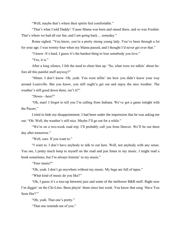"Well, maybe that's where their spirits feel comfortable."

"That's what I told Daddy! 'Cause Mama was born and raised there, and so was Frankie. That's where we had all our fun, and I *am* going back… someday."

Rome sighed. "You know, you're a pretty strong young lady. You've been through a lot for your age. I was twenty-four when my Mama passed, and I thought I'd never get over that."

"I know. It's hard. I guess it's the hardest thing to lose somebody you love."

"Yes, it is."

After a long silence, I felt the need to cheer him up. "So, what were we talkin' about before all this painful stuff anyway?"

"Mmm. I don't know. Oh, yeah. You were tellin' me how you didn't know your way around Louisville. But you know, you still ought'a get out and enjoy the nice weather. The weather's still good down there, isn't it?"

"Down—here?"

"Oh, man! I forgot to tell you I'm calling from Indiana. We've got a game tonight with the Pacers."

I tried to hide my disappointment. I had been under the impression that he was asking me out. "Oh. Well, the weather's still nice. Maybe I'll go out for a while."

"We're on a two-week road trip. I'll probably call you from Denver. We'll be out there day after tomorrow."

"Well, sure. If you want to."

"I want to. I don't have anybody to talk to out here. Well, not anybody with any sense. You see, I pretty much keep to myself on the road and just listen to my music. I might read a book sometimes, but I'm *always* listenin' to my music."

"*Your* music?"

"Oh, yeah. I don't go anywhere without my music. My bags are full of tapes."

"What kind of music do you like?"

"Oh, I guess it's a toss-up between jazz and some of the mellower R&B stuff. Right now I'm diggin' on the Chi-Lites. Been playin' them since last week. You know that song 'Have You Seen Her?'"

"Oh, yeah. That one's pretty."

"That one reminds me of you."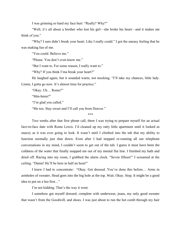I was grinning so hard my face hurt. "Really? Why?"

"Well, it's all about a brother who lost his girl—she broke his heart—and it makes me think of you."

"Why? I sure didn't break your heart. Like I really could." I got the uneasy feeling that he was making fun of me.

"You could. Believe me."

"Please. You don't even know me."

"But I want to. For some reason, I really want to."

"Why? If you think I'ma break your heart?"

He laughed again, but it sounded warm, not mocking. "I'll take my chances, little lady.

Listen, I gotta go now. It's almost time for practice."

"Okay. Uh… Rome?"

"Mm-hmm?"

"I'm glad you called."

"Me too. Stay sweet and I'll call you from Denver."

\*\*\*

Two weeks after that first phone call, there I was trying to prepare myself for an actual face-to-face date with Rome Lewis. I'd cleaned up my ratty little apartment until it looked as snazzy as it was ever going to look. It wasn't until I climbed into the tub that my ability to function normally just shut down. Even after I had stopped re-running all our telephone conversations in my mind, I couldn't seem to get out of the tub. I guess it must have been the coldness of the water that finally snapped me out of my mental flat line. I finished my bath and dried off. Racing into my room, I grabbed the alarm clock. "Seven fifteen!" I screamed at the ceiling. "Damn! He'll be here in half an hour!"

I knew I had to concentrate: "Okay. Get dressed. You've done this before… Arms in armholes of sweater. Head goes into the big hole at the top. Wait. Okay. Stop. It might be a good idea to put on a bra first*…*"

I'm not kidding. That's the way it went.

I somehow got myself dressed, complete with underwear, jeans, my only good sweater that wasn't from the Goodwill, and shoes. I was just about to run the hot comb through my hair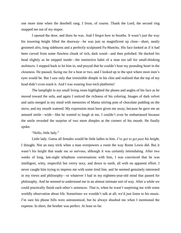one more time when the doorbell rang. I froze, of course. Thank the Lord, the second ring snapped me out of my stupor.

I opened the door, and there he was. And I forgot how to breathe. It wasn't just the way his towering height filled the doorway—he was just so magnificent up close—short, neatly groomed afro, long sideburns and a perfectly sculptured Fu-Manchu. His face looked as if it had been carved from some flawless chunk of rich, dark wood—and then polished. He ducked his head slightly as he stepped inside—the instinctive habit of a man too tall for small-thinking architects. I stepped back to let him in, and prayed that he couldn't hear my pounding heart in the closeness. He paused, facing me for a beat or two, and I looked up to the spot where most men's eyes would be. But I saw only that irresistible dimple in his chin and realized that the top of my head didn't even reach it. And I was wearing four-inch platforms!

The lamplight in my small living room highlighted the planes and angles of his face as he moved toward the sofa, and again I noticed the richness of his coloring. Images of dark velvet and satin merged in my mind with memories of Mama stirring pots of chocolate pudding on the stove, and my mouth watered. My expression must have given me away, because he gave me an amused smile—wide—like he wanted to laugh at me. I couldn't even be embarrassed because the smile revealed the surprise of two more dimples at the corners of his mouth. He finally spoke.

"Hello, little lady."

Little lady. Guess all females would be little ladies to him. *I've got to get past his height*, I thought. Not an easy trick when a man overpowers a room the way Rome Lewis did. But it wasn't his height that made me so nervous, although it was certainly intimidating. After two weeks of long, late-night telephone conversations with him, I was convinced that he was intelligent, witty, respectful but verrry sexy, and down to earth, all with no apparent effort. I never caught him trying to impress me with some tired line, and he seemed genuinely interested in my views and philosophy—or whatever I had in my eighteen-year-old mind that passed for philosophy. And he seemed to understand me in an almost intimate sort of way. After a while we could practically finish each other's sentences. That is, when he wasn't surprising me with some worldly observation about life. Sometimes we wouldn't talk at all; we'd just listen to his music. I'm sure his phone bills were astronomical, but he always shushed me when I mentioned the expense. In short, the brother was perfect. At least so far.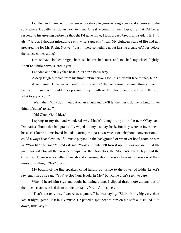I smiled and managed to maneuver my shaky legs—knocking knees and all—over to the sofa where I boldly sat down next to him. A real accomplishment. Deciding that I'd better respond to his greeting before he thought I'd gone mute, I took a deep breath and said, "Hi. I—I, uh—" *Great,* I thought miserably. *I can walk. I just can't talk.* My eighteen years of life had not prepared me for Mr. Right. Not yet. Wasn't there something about kissing a gang of frogs before the prince comes along?

I must have looked tragic, because he reached over and touched my cheek lightly. "You're a little nervous, aren't you?"

I nodded and felt my face heat up. "I don't know why—"

A deep laugh rumbled from his throat. "I'm nervous too. It's different face to face, huh?"

A gentleman. How perfect could this brother be? His confession loosened things up and I laughed. "It sure is. I couldn't stop runnin' my mouth on the phone, and now I can't think of what to say to you."

"Well, then. Why don't you put on an album and we'll let the music do the talking till we think of sump' to say."

"Oh! Okay. Good idea."

I sprang to my feet and wondered why I hadn't thought to put on the new O'Jays and Dramatics albums that had practically wiped out my last paycheck. But they were an investment, because I knew Rome loved ballads. During the past two weeks of telephone conversations, I could always hear slow, soulful music playing in the background of whatever hotel room he was in. "You like this song?" he'd ask me. "Wait a minute. I'll turn it up." It was apparent that the man was wild for all the crooner groups like the Dramatics, the Moments, the O'Jays, and the Chi-Lites. There was something boyish and charming about the way he took possession of their music by calling it "his" music.

My bottom-of-the-line speakers could hardly do justice to the power of Eddie Levert's raw emotion as he sang "You've Got Your Hooks In Me," but Rome didn't seem to care.

When I heard him sigh and begin humming along, I slipped three more albums out of their jackets and stacked them on the turntable. Yeah. Atmosphere.

"That's the only way I can relax anymore," he was saying, "Sittin' in my big easy chair late at night, gettin' lost in my music. He patted a spot next to him on the sofa and smiled. "Sit down, little lady."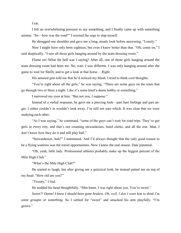I sat.

I felt an overwhelming pressure to say something, and I finally came up with something asinine. "So—how was the road?" I resisted the urge to slap myself.

He shrugged one shoulder and gave me a long, steady look before answering. "Lonely."

Now I might have only been eighteen, but even I knew better than that. "Oh, come on," I said skeptically. "I saw all those girls hanging around by the team dressing room."

*Flame on!* What the hell was I saying? After all, one of those girls hanging around the team dressing room had been *me*. No, wait. I was different. I was only hanging around after the game to wait for Shelly and to get a look at that horse… Right.

His amused grin told me that he'd noticed my blush. I tried to think cool thoughts.

"You're right about all the girls," he was saying. "There are some guys on the team that go through two or three a night. Like it's some kind'a damn hobby or something."

I narrowed my eyes at him. "But not you, I suppose."

Instead of a verbal response, he gave me a piercing look—part hurt feelings and part anger. I either couldn't or wouldn't look away. I'm still not sure which. It was clear that we were studying each other.

"As I was saying," he continued, "some of the guys can't wait for road trips. They've got girls in every city, and that's not counting stewardesses, hotel clerks, and all the rest. Man, I don't know how they do it and still play ball."

"Stewardesses, huh?" I murmured. And I'd always thought that the only good reason to be a flying waitress was the travel opportunities. Now I knew the real reason. Date potential.

"Oh, yeah, little lady. Professional athletes probably make up the biggest percent of the Mile High Club."

"What's the Mile High Club?"

He started to laugh, but after giving me a quizzical look, he instead patted me on top of my head. "How old are you?"

"Twenty," I lied.

He nodded his head thoughtfully. "Mm-hmm. I was right about you. You're sweet."

*Sweet?! Damn! I knew I should have gone braless. Oh, well, I don't want him to think I'm some groupie or something.* So I settled for "sweet" and smacked his arm playfully. "I'm grown."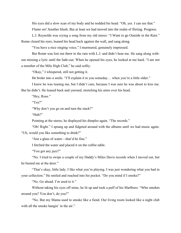His eyes did a slow scan of my body and he nodded his head. "Oh, yes. I can see that." *Flame on!* Another blush. But at least we had moved into the realm of flirting. Progress.

L.J. Reynolds was crying a song from my old stereo: "I Want to go Outside in the Rain." Rome closed his eyes, leaned his head back against the wall, and sang along.

"You have a nice singing voice," I murmured, genuinely impressed.

But Rome was lost out there in the rain with L.J. and didn't hear me. He sang along without missing a lyric until the fade-out. When he opened his eyes, he looked at me hard. "I am *not* a member of the Mile High Club," he said softly.

"Okay," I whispered, still not getting it.

He broke into a smile. "I'll explain it to you someday… when you're a little older."

I knew he was teasing me, but I didn't care, because I was sure he was about to kiss me. But he didn't. He leaned back and yawned, stretching his arms over his head.

"Hey, Rose."

"Yes?"

"Why don't you go on and turn the stack?"

"Huh?"

Pointing at the stereo, he displayed his dimples again. "The records."

"Oh! Right." I sprang up and fidgeted around with the albums until we had music again. "Uh, would you like something to drink?"

"Just a glass of water—that'd be fine."

I fetched the water and placed it on the coffee table.

"You got any jazz?"

"No. I tried to swipe a couple of my Daddy's Miles Davis records when I moved out, but he busted me at the door."

"That's okay, little lady. I like what you're playing. I was just wondering what you had in your collection." He smiled and reached into his pocket. "Do you mind if I smoke?"

"No. Go ahead. I'm used to it."

Without taking his eyes off mine, he lit up and took a puff of his Marlboro. "Who smokes around you? You don't, do you?"

"No. But my Mama used to smoke like a fiend. Our living room looked like a night club with all the smoke hangin' in the air."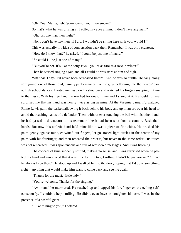"Oh. Your Mama, huh? So—none of your men smoke?"

So that's what he was driving at. I rolled my eyes at him. "I don't have any *men*." "Oh, just one man then, huh?"

"No. I don't have *any* men. If I did, I wouldn't be sitting here with you, would I?"

This was actually my idea of conversation back then. Remember, I was only eighteen.

"How do I know that?" he asked. "I could be just one of many."

"So could I—be just one of many."

"But you're not. It's like the song says—you're as rare as a rose in winter."

Then he started singing again and all I could do was stare at him and sigh.

What can I say? I'd never been serenaded before. And he was so subtle. He sang along softly—not one of those loud, hammy performances like the guys bellowing into their dates' ears at high school dances. I rested my head on his shoulder and watched his fingers snapping in time to the music. With his free hand, he reached for one of mine and I stared at it. It shouldn't have surprised me that his hand was nearly twice as big as mine. At the Virginia game, I'd watched Rome Lewis palm the basketball, swing it back behind his body and up in an arc over his head to avoid the reaching hands of a defender. Then, without ever touching the ball with his other hand, he had passed it downcourt to his teammate like it had been shot from a cannon. Basketball hands. But now this athletic hand held mine like it was a piece of fine china. He brushed his palm gently against mine, entwined our fingers, let go, traced light circles in the center of my palm with his forefinger, and then repeated the process, but never in the same order. His touch was not rehearsed. It was spontaneous and full of whispered messages. And I was listening.

The concept of time suddenly shifted, making no sense, and I was surprised when he patted my hand and announced that it was time for him to get rolling. Hadn't he just arrived? Or had he always been there? He stood up and I walked him to the door, hoping that I'd done something right—anything that would make him want to come back and see me again.

"Thanks for the music, little lady."

"You're welcome. Thanks for the singing."

"Aw, man," he murmured. He reached up and tapped his forefinger on the ceiling selfconsciously. I couldn't help smiling. He didn't even have to straighten his arm. I was in the presence of a bashful giant.

"I like talking to you," I offered.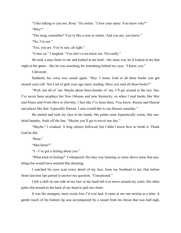"I like talking to you too, Rose." He smiles. "I *love* your name. You know why?" "Why?"

"The song, remember? You're like a rose in winter. And you are, you know."

"No, I'm not."

"Yes, you are. You're rare, all right."

"Come on," I laughed. "You don't even know me. Not really."

He took a step closer to me and looked at me hard—the same way he'd looked at me that night at the game—like he was searching for something behind my eyes. "I know you."

I shivered.

Suddenly his voice was casual again. "Hey. I mean, look at all these books you got around your crib. Not a lot of girls your age enjoy reading. Have you read all these books?"

"Well, not all of 'em. Maybe about three-fourths of 'em. I'll get around to the rest. See, I've never been anyplace but New Orleans and now Kentucky, so when I read books like *War and Peace* and *From Here to Eternity*, I feel like I've been there. You know, Russia and Hawaii and places like that. Especially Hawaii. I sure would like to see Hawaii someday."

He smiled and took my face in his hands. His palms were hypnotically warm, like sundried laundry, fresh off the line. "Maybe you'll get to travel one day."

"Maybe," I croaked. A long silence followed, but I didn't know how to break it. Thank God he did.

"Rose."

"Mm-hmm?"

"I—I've got a feeling about you."

"What kind of feeling?" I whispered. His face was looming so close above mine that anything else would have seemed like shouting.

I watched his eyes scan every detail of my face, from my forehead to my chin before those luscious lips parted to answer my question. "Unexpected."

I felt a chill on one side of my face as his hand left it to move around my waist. His other palm slid around to the back of my head to pull me closer.

It was the strangest, most exotic kiss I'd ever had; it came at me one section at a time. A gentle touch of his bottom lip was accompanied by a sound from his throat that was half-sigh,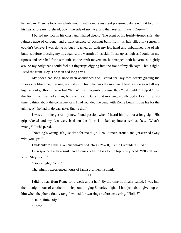half-moan. Then he took my whole mouth with a more insistent pressure, only leaving it to brush his lips across my forehead, down the side of my face, and then rest at my ear. "Rose—"

I buried my face in his chest and inhaled deeply. The scent of his freshly-ironed shirt, the faintest trace of cologne, and a light essence of coconut balm from his hair filled my senses. I couldn't believe I was doing it, but I reached up with my left hand and unbuttoned one of his buttons before pressing my lips against the warmth of his skin. I rose up as high as I could on my tiptoes and searched for his mouth. In one swift movement, he wrapped both his arms so tightly around my body that I could feel his fingertips digging into the front of my rib cage. That's right. I said the front. Hey. The man had long arms.

My shoes had long since been abandoned and I could feel my toes barely grazing the floor as he lifted me, pressing my body into his. That was the moment I finally understood all my high school girlfriends who had "fallen" from virginity because they "just couldn't help it." For the first time I wanted a man, body and soul. But at that moment, mostly body. I can't lie. No time to think about the consequences. I had rounded the bend with Rome Lewis. I was his for the taking. All he had to do was take. But he didn't.

I was at the height of my new-found passion when I heard him let out a long sigh. His grip relaxed and my feet were back on the floor. I looked up into a serious face. "What's wrong?" I whispered.

"Nothing's wrong. It's just time for me to go. I could mess around and get carried away with you, girl."

I suddenly felt like a romance-novel seductress. "Well, maybe I wouldn't mind."

He responded with a smile and a quick, chaste kiss to the top of my head. "I'll call you, Rose. Stay sweet."

"Good-night, Rome."

That night I experienced hours of fantasy-driven insomnia.

\*\*\*

I didn't hear from Rome for a week and a half. By the time he finally called, I was into the midnight hour of another no-telephone-ringing Saturday night. I had just about given up on him when the phone finally rang. I waited for two rings before answering. "Hello?"

"Hello, little lady."

"Rome?"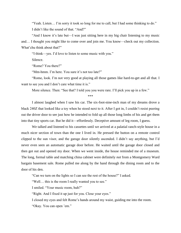"Yeah. Listen… I'm sorry it took so long for me to call, but I had some thinking to do." I didn't like the sound of that. "And?"

"And I know it's late but—I was just sitting here in my big chair listening to my music and… I thought you might like to come over and join me. You know—check out my collection. What'chu think about that?"

"I think—yes. I'd love to listen to some music with you."

Silence.

"Rome? You there?"

"Mm-hmm. I'm here. You sure it's not too late?"

"Rome, look. I'm not very good at playing all those games like hard-to-get and all that. I want to see you and I don't care what time it is."

More silence. Then: "See that? I told you you were rare. I'll pick you up in a few."

\*\*\*

I almost laughed when I saw his car. The six-foot-nine-inch man of my dreams drove a black 240Z that looked like a toy when he stood next to it. After I got in, I couldn't resist peering out the driver door to see just how he intended to fold up all those long limbs of his and get them into that tiny sports car. But he did it—effortlessly. Deceptive amount of leg room, I guess.

We talked and listened to his cassettes until we arrived at a palatial ranch-style house in a much nicer section of town than the one I lived in. He pressed the button on a remote control clipped to the sun visor, and the garage door silently ascended. I didn't say anything, but I'd never even seen an automatic garage door before. He waited until the garage door closed and then got out and opened my door. When we went inside, the house reminded me of a museum. The long, formal table and matching china cabinet were definitely *not* from a Montgomery Ward bargain basement sale. Rome pulled me along by the hand through the dining room and to the door of his den.

"Can we turn on the lights so I can see the rest of the house?" I asked.

"Well… this is the room I really wanted you to see."

I smiled. "Your music room, huh?"

"Right. And I fixed it up just for you. Close your eyes."

I closed my eyes and felt Rome's hands around my waist, guiding me into the room.

"Okay. You can open 'em."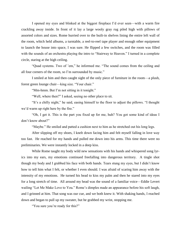I opened my eyes and blinked at the biggest fireplace I'd ever seen—with a warm fire crackling away inside. In front of it lay a large wooly gray rug piled high with pillows of assorted colors and sizes. Rome hurried over to the built-in shelves lining the entire left wall of the room, which held albums, a turntable, a reel-to-reel tape player and enough other equipment to launch the house into space, I was sure. He flipped a few switches, and the room was filled with the sounds of an orchestra playing the intro to "Stairway to Heaven." I turned in a complete circle, staring at the high ceiling.

"Quad systems. Two of 'em," he informed me. "The sound comes from the ceiling and all four corners of the room, so I'm surrounded by music."

I smiled at him and then caught sight of the only piece of furniture in the room—a plush, forest green lounge chair—king size. "Your chair."

"Mm-hmm. But I'm not sitting in it tonight."

"Well, where then?" I asked, seeing no other place to sit.

"It's a chilly night," he said, easing himself to the floor to adjust the pillows. "I thought we'd warm up right here by the fire."

"Oh, I get it. This is the part you fixed up for me, huh? You got some kind of ideas I don't know about?"

"Maybe." He smiled and patted a cushion next to him as he stretched out his long legs.

After slipping off my shoes, I knelt down facing him and felt myself falling in love way too fast. He reached for my hands and pulled me down into his arms. This time there were no preliminaries. We were instantly locked in a deep kiss.

While Rome taught my body wild new sensations with his hands and whispered song lyrics into my ears, my emotions continued freefalling into dangerous territory. A tingle shot though my body and I grabbed his face with both hands. Tears stung my eyes, but I didn't know how to tell him what I felt, or whether I even should. I was afraid of scaring him away with the intensity of my emotions. He turned his head to kiss my palm and then he stared into my eyes for a long stretch of time. All around my head was the sound of a familiar voice—Eddie Levert wailing "Let Me Make Love to You*.*" Rome's dimples made an appearance before his soft laugh, and I grinned at him. That song was our cue, and we both knew it. With shaking hands, I reached down and began to pull up my sweater, but he grabbed my wrist, stopping me.

"You sure you're ready for this?"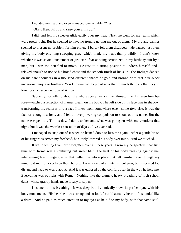I nodded my head and even managed one syllable. "Yes."

"Okay, then. Sit up and raise your arms up."

I did, and felt my sweater glide easily over my head. Next, he went for my jeans, which were pretty tight. But he seemed to have no trouble getting me out of them. My bra and panties seemed to present no problem for him either. I barely felt them disappear. He paused just then, giving my body one long sweeping gaze, which made my heart thump wildly. I don't know whether it was sexual excitement or just stark fear at being scrutinized in my birthday suit by a man, but I was too petrified to move. He rose to a sitting position to undress himself, and I relaxed enough to notice his broad chest and the smooth finish of his skin. The firelight danced on his bare shoulders in a thousand different shades of gold and bronze, with that blue-black undertone unique to brothers. You know—that deep darkness that reminds the eyes that they're looking at a descended Son of Africa.

Suddenly, something about the whole scene ran a shiver through me. I'd seen him before—watched a reflection of flames gleam on his body. The left side of his face was in shadow, transforming his features into a face I knew from somewhere else—some *time* else. It was the face of a long-lost love, and I felt an overpowering compulsion to shout out his name. But the name escaped me. To this day, I don't understand what was going on with my emotions that night, but it was the weirdest sensation of déjà vu I've ever had.

I managed to snap out of it when he leaned down to kiss me again. After a gentle brush of his fingertips across my forehead, he slowly lowered his body over mine. And we touched.

It was a feeling I've never forgotten over all these years. From my perspective, that first time with Rome was a confusing but sweet blur. The heat of his body pressing against me, intertwining legs, clinging arms that pulled me into a place that felt familiar, even though my mind told me I'd never been there before. I was aware of an intermittent pain, but it seemed too distant and hazy to worry about. And it was eclipsed by the comfort I felt in the way he held me. Everything was so right with Rome. Nothing like the clumsy, heavy breathing of high school dates, whose grabby hands made it easy to say no.

I listened to his breathing. It was deep but rhythmically slow, in perfect sync with his body movements. His heartbeat was strong and so loud, I could actually hear it. It sounded like a drum. And he paid as much attention to my eyes as he did to my body, with that same soul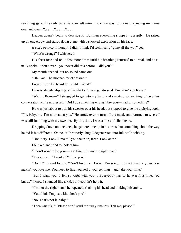searching gaze. The only time his eyes left mine, his voice was in my ear, repeating my name over and over: *Rose… Rose… Rose…* 

Heaven doesn't begin to describe it. But then everything stopped—abruptly. He raised up on one elbow and stared down at me with a shocked expression on his face.

*It can't be over*, I thought. I didn't think I'd technically "gone all the way" yet.

"What's wrong?" I whispered.

His chest rose and fell a few more times until his breathing returned to normal, and he finally spoke. "You never—you never did this before… did you?"

My mouth opened, but no sound came out.

"Oh, God," he moaned. "Get dressed."

I wasn't sure I'd heard him right. "What?"

He was already slipping on his slacks. "I said get dressed. I'm takin' you home."

"Wait… Rome—" I struggled to get into my jeans and sweater, not wanting to have this conversation while undressed. "Did I do something wrong? Are you—mad or something?"

He was just about to pull his sweater over his head, but stopped to give me a pitying look. "No, baby, no. I'm not mad at you." He strode over to turn off the music and returned to where I was still fumbling with my sweater. By this time, I was a mess of silent tears.

Dropping down on one knee, he gathered me up in his arms, but something about the way he did it felt different. Oh no. A "brotherly" hug. I degenerated into full-scale sobbing.

"Don't cry. Look. I'ma tell you the truth, Rose. Look at me."

I blinked and tried to look at him.

"I don't want to be your—first time. I'm not the right man."

"Yes you are," I wailed. "I love you."

"Don't!" he said loudly. "Don't love me. Look. I'm sorry. I didn't have any business makin' you love me. You need to find yourself a younger man—and take your time."

"But I want you! I felt so *right* with you… Everybody has to have a first time, you know." I knew I sounded like a kid, but I couldn't help it.

"I'm not the right man," he repeated, shaking his head and looking miserable.

"You think I'm just a kid, don't you?"

"No. That's not it, baby."

"Then what is it? Please don't send me away like this. Tell me, please."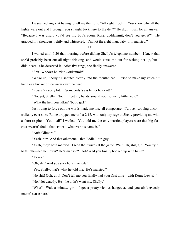He seemed angry at having to tell me the truth. "All right. Look… You know why all the lights were out and I brought you straight back here to the den?" He didn't wait for an answer. "Because I was afraid you'd see my boy's room. Rose, goddammit, don't you get it?" He grabbed my shoulders tightly and whispered, "I'm not the right man, baby. I'm married."

\*\*\*

I waited until 6:20 that morning before dialing Shelly's telephone number. I knew that she'd probably been out all night drinking, and would curse me out for waking her up, but I didn't care. She deserved it. After five rings, she finally answered.

"Shit! Whooza hellzis? Gotdammit!"

"Wake up, Shelly," I shouted clearly into the mouthpiece. I tried to make my voice hit her like a bucket of ice water over the head.

"Rose? Ya sorry bitch! Somebody's ass better be dead!"

"Not yet, Shelly. Not till I get my hands around your scrawny little neck."

"What the hell you talkin' 'bout, girl?"

Just trying to force out the words made me lose all composure. I'd been sobbing uncontrollably ever since Rome dropped me off at 2:15, with only my rage at Shelly providing me with a short respite. "You lied!" I wailed. "You told me the only married players were that big furcoat-wearin' fool—that center—whatever his name is."

"Artis Gilmore."

"Yeah, him. And that other one—that Eddie Roth guy!"

"Yeah, they' both married. I seen their wives at the game. Wait! Oh, shit, girl! You tryin' to tell me—Rome Lewis? He's married? Ooh! And you finally hooked up with him?"

"Y-yes."

"Oh, shit! And you *sure* he's married?"

"Yes, Shelly, that's what he told me. He's married."

"No shit! Ooh, girl! Don't tell me you finally had your first time—with Rome Lewis?!"

"No. Not exactly. He—he didn't want me, Shelly."

"What? Wait a minute, girl. I got a pretty vicious hangover, and you ain't exactly makin' sense here."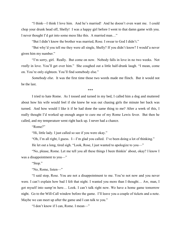"I think—I think I love him. And he's married! And he doesn't even want me. I could chop your drunk head off, Shelly! I was a happy girl before I went to that damn game with you. I never thought I'd get into some mess like this. A married man…"

"But I didn't know the brother was married, Rose. I swear to God I didn't."

"But why'd you tell me they were all single, Shelly? If you didn't know? I would'a never given him my number."

"I'm sorry, girl. Really. But come on now. Nobody falls in love in no two weeks. Not *really* in love. You'll get over him." She coughed out a little half-drunk laugh. "I mean, come on. You're only eighteen. You'll find somebody else."

*Somebody else*. It was the first time those two words made me flinch. But it would not be the last.

\*\*\*

I tried to hate Rome. As I tossed and turned in my bed, I called him a dog and muttered about how his wife would feel if she knew he was out chasing girls the minute her back was turned. And how would I like it if he had done the same thing to me? After a week of this, I really thought I'd worked up enough anger to cure me of my Rome Lewis fever. But then he called, and my temperature went right back up. I never had a chance.

"Rome?"

"Hi, little lady. I just called so see if you were okay."

"Oh, I'm all right, I guess. I—I'm glad you called. I've been doing a lot of thinking."

He let out a long, tired sigh. "Look, Rose, I just wanted to apologize to you—"

"No, please, Rome. Let me tell you all these things I been thinkin' about, okay? I know I was a disappointment to you—"

"Stop."

"No, Rome, listen—"

"I said stop, Rose. You are not a disappointment to me. You're not now and you never were. I can't explain how bad I felt that night. I wanted you more than I thought… Aw, man, I got myself into sump'm here… Look. I can't talk right now. We have a home game tomorrow night. Go to the Will-Call window before the game. I'll leave you a couple of tickets and a note. Maybe we can meet up after the game and I can talk to you."

"I don't know if I can, Rome. I mean—"